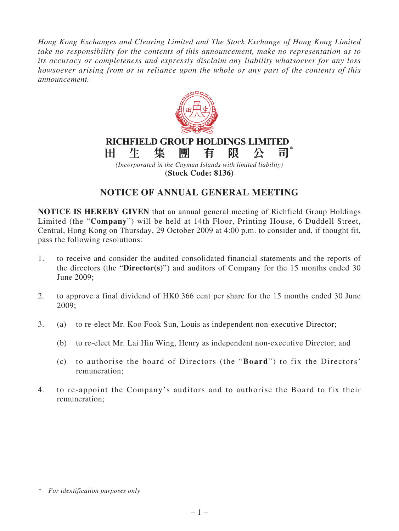*Hong Kong Exchanges and Clearing Limited and The Stock Exchange of Hong Kong Limited take no responsibility for the contents of this announcement, make no representation as to its accuracy or completeness and expressly disclaim any liability whatsoever for any loss howsoever arising from or in reliance upon the whole or any part of the contents of this announcement.*



## **NOTICE OF ANNUAL GENERAL MEETING**

**NOTICE IS HEREBY GIVEN** that an annual general meeting of Richfield Group Holdings Limited (the "**Company**") will be held at 14th Floor, Printing House, 6 Duddell Street, Central, Hong Kong on Thursday, 29 October 2009 at 4:00 p.m. to consider and, if thought fit, pass the following resolutions:

- 1. to receive and consider the audited consolidated financial statements and the reports of the directors (the "**Director(s)**") and auditors of Company for the 15 months ended 30 June 2009;
- 2. to approve a final dividend of HK0.366 cent per share for the 15 months ended 30 June 2009;
- 3. (a) to re-elect Mr. Koo Fook Sun, Louis as independent non-executive Director;
	- (b) to re-elect Mr. Lai Hin Wing, Henry as independent non-executive Director; and
	- (c) to authorise the board of Directors (the "**Board**") to fix the Directors' remuneration;
- 4. to re-appoint the Company's auditors and to authorise the Board to fix their remuneration;

*\* For identification purposes only*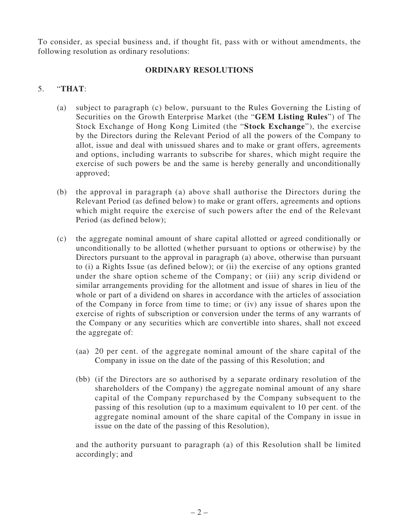To consider, as special business and, if thought fit, pass with or without amendments, the following resolution as ordinary resolutions:

## **ORDINARY RESOLUTIONS**

## 5. "**THAT**:

- (a) subject to paragraph (c) below, pursuant to the Rules Governing the Listing of Securities on the Growth Enterprise Market (the "**GEM Listing Rules**") of The Stock Exchange of Hong Kong Limited (the "**Stock Exchange**"), the exercise by the Directors during the Relevant Period of all the powers of the Company to allot, issue and deal with unissued shares and to make or grant offers, agreements and options, including warrants to subscribe for shares, which might require the exercise of such powers be and the same is hereby generally and unconditionally approved;
- (b) the approval in paragraph (a) above shall authorise the Directors during the Relevant Period (as defined below) to make or grant offers, agreements and options which might require the exercise of such powers after the end of the Relevant Period (as defined below);
- (c) the aggregate nominal amount of share capital allotted or agreed conditionally or unconditionally to be allotted (whether pursuant to options or otherwise) by the Directors pursuant to the approval in paragraph (a) above, otherwise than pursuant to (i) a Rights Issue (as defined below); or (ii) the exercise of any options granted under the share option scheme of the Company; or (iii) any scrip dividend or similar arrangements providing for the allotment and issue of shares in lieu of the whole or part of a dividend on shares in accordance with the articles of association of the Company in force from time to time; or (iv) any issue of shares upon the exercise of rights of subscription or conversion under the terms of any warrants of the Company or any securities which are convertible into shares, shall not exceed the aggregate of:
	- (aa) 20 per cent. of the aggregate nominal amount of the share capital of the Company in issue on the date of the passing of this Resolution; and
	- (bb) (if the Directors are so authorised by a separate ordinary resolution of the shareholders of the Company) the aggregate nominal amount of any share capital of the Company repurchased by the Company subsequent to the passing of this resolution (up to a maximum equivalent to 10 per cent. of the aggregate nominal amount of the share capital of the Company in issue in issue on the date of the passing of this Resolution),

and the authority pursuant to paragraph (a) of this Resolution shall be limited accordingly; and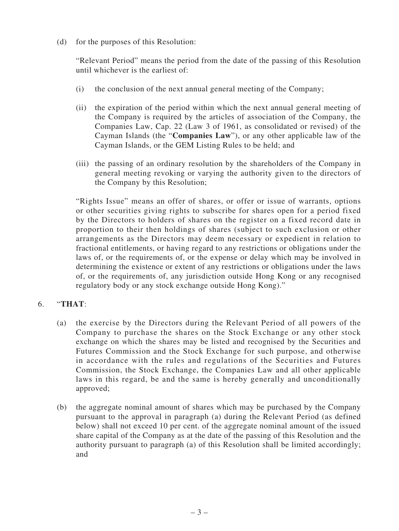(d) for the purposes of this Resolution:

"Relevant Period" means the period from the date of the passing of this Resolution until whichever is the earliest of:

- (i) the conclusion of the next annual general meeting of the Company;
- (ii) the expiration of the period within which the next annual general meeting of the Company is required by the articles of association of the Company, the Companies Law, Cap. 22 (Law 3 of 1961, as consolidated or revised) of the Cayman Islands (the "**Companies Law**"), or any other applicable law of the Cayman Islands, or the GEM Listing Rules to be held; and
- (iii) the passing of an ordinary resolution by the shareholders of the Company in general meeting revoking or varying the authority given to the directors of the Company by this Resolution;

"Rights Issue" means an offer of shares, or offer or issue of warrants, options or other securities giving rights to subscribe for shares open for a period fixed by the Directors to holders of shares on the register on a fixed record date in proportion to their then holdings of shares (subject to such exclusion or other arrangements as the Directors may deem necessary or expedient in relation to fractional entitlements, or having regard to any restrictions or obligations under the laws of, or the requirements of, or the expense or delay which may be involved in determining the existence or extent of any restrictions or obligations under the laws of, or the requirements of, any jurisdiction outside Hong Kong or any recognised regulatory body or any stock exchange outside Hong Kong)."

## 6. "**THAT**:

- (a) the exercise by the Directors during the Relevant Period of all powers of the Company to purchase the shares on the Stock Exchange or any other stock exchange on which the shares may be listed and recognised by the Securities and Futures Commission and the Stock Exchange for such purpose, and otherwise in accordance with the rules and regulations of the Securities and Futures Commission, the Stock Exchange, the Companies Law and all other applicable laws in this regard, be and the same is hereby generally and unconditionally approved;
- (b) the aggregate nominal amount of shares which may be purchased by the Company pursuant to the approval in paragraph (a) during the Relevant Period (as defined below) shall not exceed 10 per cent. of the aggregate nominal amount of the issued share capital of the Company as at the date of the passing of this Resolution and the authority pursuant to paragraph (a) of this Resolution shall be limited accordingly; and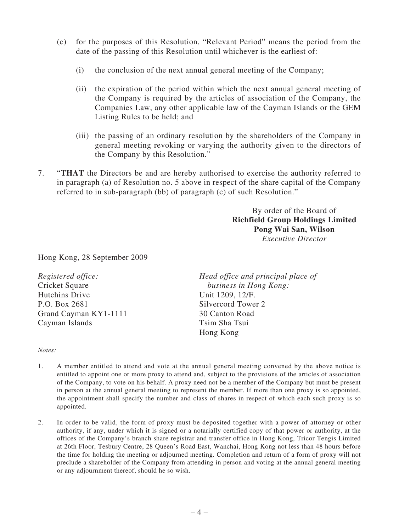- (c) for the purposes of this Resolution, "Relevant Period" means the period from the date of the passing of this Resolution until whichever is the earliest of:
	- (i) the conclusion of the next annual general meeting of the Company;
	- (ii) the expiration of the period within which the next annual general meeting of the Company is required by the articles of association of the Company, the Companies Law, any other applicable law of the Cayman Islands or the GEM Listing Rules to be held; and
	- (iii) the passing of an ordinary resolution by the shareholders of the Company in general meeting revoking or varying the authority given to the directors of the Company by this Resolution."
- 7. "**THAT** the Directors be and are hereby authorised to exercise the authority referred to in paragraph (a) of Resolution no. 5 above in respect of the share capital of the Company referred to in sub-paragraph (bb) of paragraph (c) of such Resolution."

By order of the Board of **Richfield Group Holdings Limited Pong Wai San, Wilson** *Executive Director* 

Hong Kong, 28 September 2009

| Registered office:    | Head office and principal place of |
|-----------------------|------------------------------------|
| Cricket Square        | business in Hong Kong:             |
| Hutchins Drive        | Unit 1209, 12/F.                   |
| P.O. Box 2681         | Silvercord Tower 2                 |
| Grand Cayman KY1-1111 | 30 Canton Road                     |
| Cayman Islands        | Tsim Sha Tsui                      |
|                       | Hong Kong                          |

*Notes:* 

- 1. A member entitled to attend and vote at the annual general meeting convened by the above notice is entitled to appoint one or more proxy to attend and, subject to the provisions of the articles of association of the Company, to vote on his behalf. A proxy need not be a member of the Company but must be present in person at the annual general meeting to represent the member. If more than one proxy is so appointed, the appointment shall specify the number and class of shares in respect of which each such proxy is so appointed.
- 2. In order to be valid, the form of proxy must be deposited together with a power of attorney or other authority, if any, under which it is signed or a notarially certified copy of that power or authority, at the offices of the Company's branch share registrar and transfer office in Hong Kong, Tricor Tengis Limited at 26th Floor, Tesbury Centre, 28 Queen's Road East, Wanchai, Hong Kong not less than 48 hours before the time for holding the meeting or adjourned meeting. Completion and return of a form of proxy will not preclude a shareholder of the Company from attending in person and voting at the annual general meeting or any adjournment thereof, should he so wish.